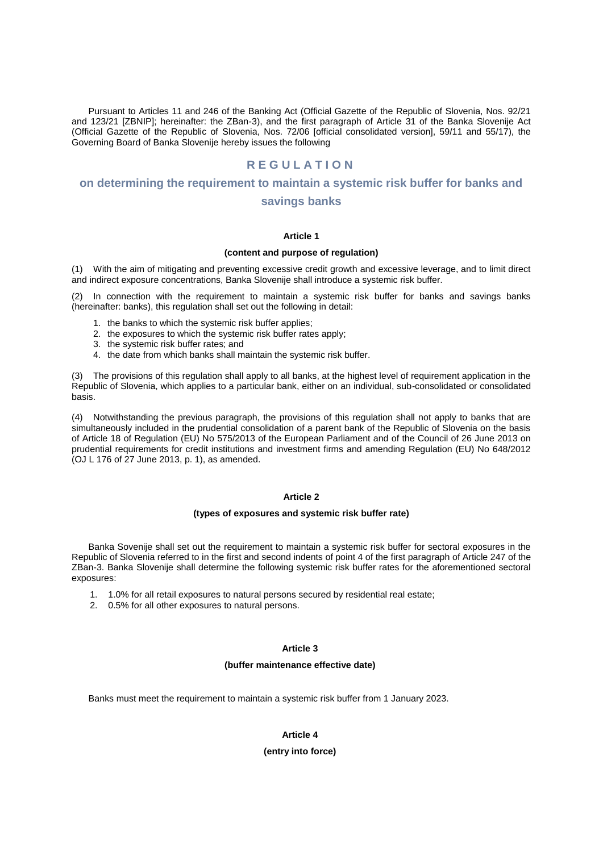Pursuant to Articles 11 and 246 of the Banking Act (Official Gazette of the Republic of Slovenia, Nos. 92/21 and 123/21 [ZBNIP]; hereinafter: the ZBan-3), and the first paragraph of Article 31 of the Banka Slovenije Act (Official Gazette of the Republic of Slovenia, Nos. 72/06 [official consolidated version], 59/11 and 55/17), the Governing Board of Banka Slovenije hereby issues the following

# **R E G U L A T I O N**

# **on determining the requirement to maintain a systemic risk buffer for banks and**

# **savings banks**

## **Article 1**

#### **(content and purpose of regulation)**

(1) With the aim of mitigating and preventing excessive credit growth and excessive leverage, and to limit direct and indirect exposure concentrations, Banka Slovenije shall introduce a systemic risk buffer.

(2) In connection with the requirement to maintain a systemic risk buffer for banks and savings banks (hereinafter: banks), this regulation shall set out the following in detail:

- 1. the banks to which the systemic risk buffer applies;
- 2. the exposures to which the systemic risk buffer rates apply;
- 3. the systemic risk buffer rates; and
- 4. the date from which banks shall maintain the systemic risk buffer.

(3) The provisions of this regulation shall apply to all banks, at the highest level of requirement application in the Republic of Slovenia, which applies to a particular bank, either on an individual, sub-consolidated or consolidated basis.

(4) Notwithstanding the previous paragraph, the provisions of this regulation shall not apply to banks that are simultaneously included in the prudential consolidation of a parent bank of the Republic of Slovenia on the basis of Article 18 of Regulation (EU) No 575/2013 of the European Parliament and of the Council of 26 June 2013 on prudential requirements for credit institutions and investment firms and amending Regulation (EU) No 648/2012 (OJ L 176 of 27 June 2013, p. 1), as amended.

## **Article 2**

#### **(types of exposures and systemic risk buffer rate)**

Banka Sovenije shall set out the requirement to maintain a systemic risk buffer for sectoral exposures in the Republic of Slovenia referred to in the first and second indents of point 4 of the first paragraph of Article 247 of the ZBan-3. Banka Slovenije shall determine the following systemic risk buffer rates for the aforementioned sectoral exposures:

- 1. 1.0% for all retail exposures to natural persons secured by residential real estate;
- 2. 0.5% for all other exposures to natural persons.

# **Article 3**

#### **(buffer maintenance effective date)**

Banks must meet the requirement to maintain a systemic risk buffer from 1 January 2023.

# **Article 4**

## **(entry into force)**